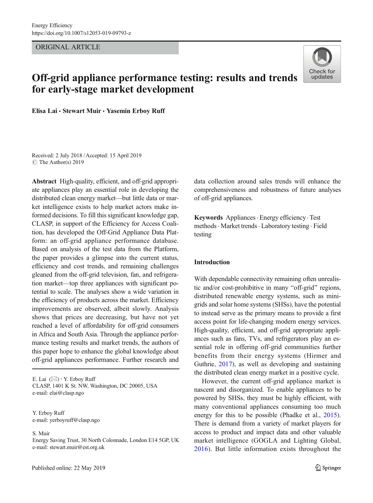ORIGINAL ARTICLE

# Off-grid appliance performance testing: results and trends for early-stage market development



Elisa Lai & Stewart Muir & Yasemin Erboy Ruff

Received: 2 July 2018 /Accepted: 15 April 2019  $\circ$  The Author(s) 2019

Abstract High-quality, efficient, and off-grid appropriate appliances play an essential role in developing the distributed clean energy market—but little data or market intelligence exists to help market actors make informed decisions. To fill this significant knowledge gap, CLASP, in support of the Efficiency for Access Coalition, has developed the Off-Grid Appliance Data Platform: an off-grid appliance performance database. Based on analysis of the test data from the Platform, the paper provides a glimpse into the current status, efficiency and cost trends, and remaining challenges gleaned from the off-grid television, fan, and refrigeration market—top three appliances with significant potential to scale. The analyses show a wide variation in the efficiency of products across the market. Efficiency improvements are observed, albeit slowly. Analysis shows that prices are decreasing, but have not yet reached a level of affordability for off-grid consumers in Africa and South Asia. Through the appliance performance testing results and market trends, the authors of this paper hope to enhance the global knowledge about off-grid appliances performance. Further research and

E. Lai  $(\boxtimes) \cdot$  Y. Erboy Ruff CLASP, 1401 K St. NW, Washington, DC 20005, USA e-mail: elai@clasp.ngo

Y. Erboy Ruff e-mail: yerboyruff@clasp.ngo

S. Muir

Energy Saving Trust, 30 North Colonnade, London E14 5GP, UK e-mail: stewart.muir@est.org.uk

data collection around sales trends will enhance the comprehensiveness and robustness of future analyses of off-grid appliances.

Keywords Appliances. Energy efficiency. Test methods. Market trends. Laboratory testing . Field testing

#### Introduction

With dependable connectivity remaining often unrealistic and/or cost-prohibitive in many "off-grid" regions, distributed renewable energy systems, such as minigrids and solar home systems (SHSs), have the potential to instead serve as the primary means to provide a first access point for life-changing modern energy services. High-quality, efficient, and off-grid appropriate appliances such as fans, TVs, and refrigerators play an essential role in offering off-grid communities further benefits from their energy systems (Hirmer and Guthrie, [2017\)](#page-23-0), as well as developing and sustaining the distributed clean energy market in a positive cycle.

However, the current off-grid appliance market is nascent and disorganized. To enable appliances to be powered by SHSs, they must be highly efficient, with many conventional appliances consuming too much energy for this to be possible (Phadke et al., [2015\)](#page-23-0). There is demand from a variety of market players for access to product and impact data and other valuable market intelligence (GOGLA and Lighting Global, [2016](#page-23-0)). But little information exists throughout the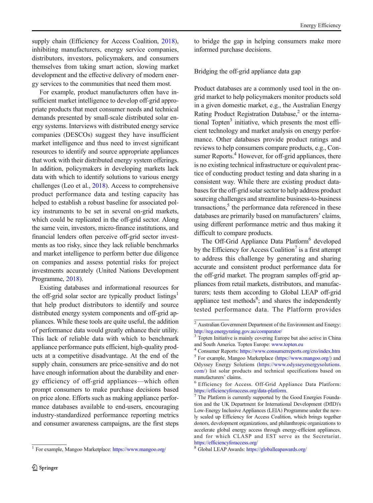supply chain (Efficiency for Access Coalition, [2018\)](#page-23-0), inhibiting manufacturers, energy service companies, distributors, investors, policymakers, and consumers themselves from taking smart action, slowing market development and the effective delivery of modern energy services to the communities that need them most.

For example, product manufacturers often have insufficient market intelligence to develop off-grid appropriate products that meet consumer needs and technical demands presented by small-scale distributed solar energy systems. Interviews with distributed energy service companies (DESCOs) suggest they have insufficient market intelligence and thus need to invest significant resources to identify and source appropriate appliances that work with their distributed energy system offerings. In addition, policymakers in developing markets lack data with which to identify solutions to various energy challenges (Leo et al., [2018\)](#page-23-0). Access to comprehensive product performance data and testing capacity has helped to establish a robust baseline for associated policy instruments to be set in several on-grid markets, which could be replicated in the off-grid sector. Along the same vein, investors, micro-finance institutions, and financial lenders often perceive off-grid sector investments as too risky, since they lack reliable benchmarks and market intelligence to perform better due diligence on companies and assess potential risks for project investments accurately (United Nations Development Programme, [2018\)](#page-23-0).

Existing databases and informational resources for the off-grid solar sector are typically product listings<sup>1</sup> that help product distributors to identify and source distributed energy system components and off-grid appliances. While these tools are quite useful, the addition of performance data would greatly enhance their utility. This lack of reliable data with which to benchmark appliance performance puts efficient, high-quality products at a competitive disadvantage. At the end of the supply chain, consumers are price-sensitive and do not have enough information about the durability and energy efficiency of off-grid appliances—which often prompt consumers to make purchase decisions based on price alone. Efforts such as making appliance performance databases available to end-users, encouraging industry-standardized performance reporting metrics and consumer awareness campaigns, are the first steps

to bridge the gap in helping consumers make more informed purchase decisions.

#### Bridging the off-grid appliance data gap

Product databases are a commonly used tool in the ongrid market to help policymakers monitor products sold in a given domestic market, e.g., the Australian Energy Rating Product Registration Database, $<sup>2</sup>$  or the interna-</sup> tional Topten $3$  initiative, which presents the most efficient technology and market analysis on energy performance. Other databases provide product ratings and reviews to help consumers compare products, e.g., Consumer Reports.<sup>4</sup> However, for off-grid appliances, there is no existing technical infrastructure or equivalent practice of conducting product testing and data sharing in a consistent way. While there are existing product databases for the off-grid solar sector to help address product sourcing challenges and streamline business-to-business transactions, $5$  the performance data referenced in these databases are primarily based on manufacturers' claims, using different performance metric and thus making it difficult to compare products.

The Off-Grid Appliance Data Platform<sup>6</sup> developed by the Efficiency for Access Coalition<sup>7</sup> is a first attempt to address this challenge by generating and sharing accurate and consistent product performance data for the off-grid market. The program samples off-grid appliances from retail markets, distributors, and manufacturers; tests them according to Global LEAP off-grid appliance test methods $8$ ; and shares the independently tested performance data. The Platform provides

<sup>1</sup> For example, Mangoo Marketplace: <https://www.mangoo.org/>

<sup>&</sup>lt;sup>2</sup> Australian Government Department of the Environment and Energy: <http://reg.energyrating.gov.au/comparator/>

<sup>&</sup>lt;sup>3</sup> Topten Initiative is mainly covering Europe but also active in China and South America. Topten Europe: www.topten.eu

 $^4$  Consumer Reports: <https://www.consumerreports.org/cro/index.htm>  $^5$  For example, Mangoo Marketplace ([https://www.mangoo.org/\)](https://www.mangoo.org/) and Odyssey Energy Solutions ([https://www.odysseyenergysolutions.](https://www.odysseyenergysolutions.com/) [com/](https://www.odysseyenergysolutions.com/)) list solar products and technical specifications based on

manufacturers' claims.<br>
<sup>6</sup> Efficiency for Access. Off-Grid Appliance Data Platform:<br>
https://efficiencyforaccess.org/data-platform.

 $\frac{7}{1}$  The Platform is currently supported by the Good Energies Foundation and the UK Department for International Development (DfID)'s Low-Energy Inclusive Appliances (LEIA) Programme under the newly scaled up Efficiency for Access Coalition, which brings together donors, development organizations, and philanthropic organizations to accelerate global energy access through energy-efficient appliances, and for which CLASP and EST serve as the Secretariat. <https://efficiencyforaccess.org/>

<sup>8</sup> Global LEAP Awards: <https://globalleapawards.org/>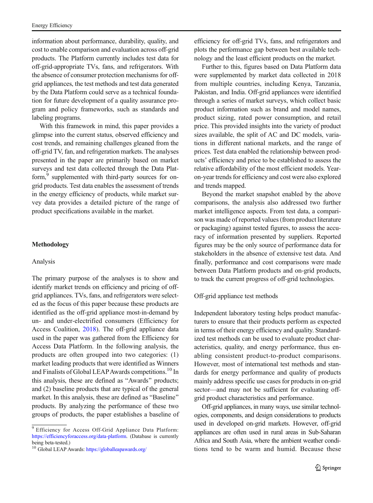information about performance, durability, quality, and cost to enable comparison and evaluation across off-grid products. The Platform currently includes test data for off-grid-appropriate TVs, fans, and refrigerators. With the absence of consumer protection mechanisms for offgrid appliances, the test methods and test data generated by the Data Platform could serve as a technical foundation for future development of a quality assurance program and policy frameworks, such as standards and labeling programs.

With this framework in mind, this paper provides a glimpse into the current status, observed efficiency and cost trends, and remaining challenges gleaned from the off-grid TV, fan, and refrigeration markets. The analyses presented in the paper are primarily based on market surveys and test data collected through the Data Platform,<sup>9</sup> supplemented with third-party sources for ongrid products. Test data enables the assessment of trends in the energy efficiency of products, while market survey data provides a detailed picture of the range of product specifications available in the market.

#### Methodology

#### Analysis

The primary purpose of the analyses is to show and identify market trends on efficiency and pricing of offgrid appliances. TVs, fans, and refrigerators were selected as the focus of this paper because these products are identified as the off-grid appliance most-in-demand by un- and under-electrified consumers (Efficiency for Access Coalition, [2018](#page-23-0)). The off-grid appliance data used in the paper was gathered from the Efficiency for Access Data Platform. In the following analysis, the products are often grouped into two categories: (1) market leading products that were identified as Winners and Finalists of Global LEAP Awards competitions.<sup>10</sup> In this analysis, these are defined as "Awards" products; and (2) baseline products that are typical of the general market. In this analysis, these are defined as "Baseline" products. By analyzing the performance of these two groups of products, the paper establishes a baseline of

<sup>9</sup> Efficiency for Access Off-Grid Appliance Data Platform: <https://efficiencyforaccess.org/data-platform>. (Database is currently being beta-tested.)

efficiency for off-grid TVs, fans, and refrigerators and plots the performance gap between best available technology and the least efficient products on the market.

Further to this, figures based on Data Platform data were supplemented by market data collected in 2018 from multiple countries, including Kenya, Tanzania, Pakistan, and India. Off-grid appliances were identified through a series of market surveys, which collect basic product information such as brand and model names, product sizing, rated power consumption, and retail price. This provided insights into the variety of product sizes available, the split of AC and DC models, variations in different national markets, and the range of prices. Test data enabled the relationship between products' efficiency and price to be established to assess the relative affordability of the most efficient models. Yearon-year trends for efficiency and cost were also explored and trends mapped.

Beyond the market snapshot enabled by the above comparisons, the analysis also addressed two further market intelligence aspects. From test data, a comparison was made of reported values (from product literature or packaging) against tested figures, to assess the accuracy of information presented by suppliers. Reported figures may be the only source of performance data for stakeholders in the absence of extensive test data. And finally, performance and cost comparisons were made between Data Platform products and on-grid products, to track the current progress of off-grid technologies.

#### Off-grid appliance test methods

Independent laboratory testing helps product manufacturers to ensure that their products perform as expected in terms of their energy efficiency and quality. Standardized test methods can be used to evaluate product characteristics, quality, and energy performance, thus enabling consistent product-to-product comparisons. However, most of international test methods and standards for energy performance and quality of products mainly address specific use cases for products in on-grid sector—and may not be sufficient for evaluating offgrid product characteristics and performance.

Off-grid appliances, in many ways, use similar technologies, components, and design considerations to products used in developed on-grid markets. However, off-grid appliances are often used in rural areas in Sub-Saharan Africa and South Asia, where the ambient weather conditions tend to be warm and humid. Because these

<sup>&</sup>lt;sup>10</sup> Global LEAP Awards: <https://globalleapawards.org/>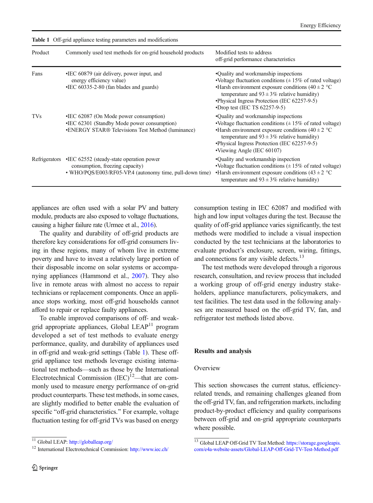| Product       | Commonly used test methods for on-grid household products                                                                                    | Modified tests to address<br>off-grid performance characteristics                                                                                                                                                                                                                                                   |
|---------------|----------------------------------------------------------------------------------------------------------------------------------------------|---------------------------------------------------------------------------------------------------------------------------------------------------------------------------------------------------------------------------------------------------------------------------------------------------------------------|
| Fans          | • IEC 60879 (air delivery, power input, and<br>energy efficiency value)<br>• IEC 60335-2-80 (fan blades and guards)                          | •Quality and workmanship inspections<br>• Voltage fluctuation conditions $(\pm 15\%$ of rated voltage)<br>• Harsh environment exposure conditions $(40 \pm 2 \degree C)$<br>temperature and $93 \pm 3\%$ relative humidity)<br>•Physical Ingress Protection (IEC 62257-9-5)<br>$\cdot$ Drop test (IEC TS 62257-9-5) |
| <b>TVs</b>    | • IEC 62087 (On Mode power consumption)<br>• IEC 62301 (Standby Mode power consumption)<br>•ENERGY STAR® Televisions Test Method (luminance) | •Quality and workmanship inspections<br>• Voltage fluctuation conditions $(\pm 15\%$ of rated voltage)<br>• Harsh environment exposure conditions $(40 \pm 2 \degree C)$<br>temperature and $93 \pm 3\%$ relative humidity)<br>•Physical Ingress Protection (IEC 62257-9-5)<br>•Viewing Angle (IEC 60107)           |
| Refrigerators | • IEC 62552 (steady-state operation power<br>consumption, freezing capacity)<br>• WHO/POS/E003/RF05-VP.4 (autonomy time, pull-down time)     | •Quality and workmanship inspection<br>• Voltage fluctuation conditions $(\pm 15\%$ of rated voltage)<br>• Harsh environment exposure conditions $(43 \pm 2 \degree C)$<br>temperature and $93 \pm 3\%$ relative humidity)                                                                                          |

Table 1 Off-grid appliance testing parameters and modifications

appliances are often used with a solar PV and battery module, products are also exposed to voltage fluctuations, causing a higher failure rate (Urmee et al., [2016](#page-24-0)).

The quality and durability of off-grid products are therefore key considerations for off-grid consumers living in these regions, many of whom live in extreme poverty and have to invest a relatively large portion of their disposable income on solar systems or accompanying appliances (Hammond et al., [2007\)](#page-23-0). They also live in remote areas with almost no access to repair technicians or replacement components. Once an appliance stops working, most off-grid households cannot afford to repair or replace faulty appliances.

To enable improved comparisons of off- and weakgrid appropriate appliances, Global  $LEAP<sup>11</sup>$  program developed a set of test methods to evaluate energy performance, quality, and durability of appliances used in off-grid and weak-grid settings (Table 1). These offgrid appliance test methods leverage existing international test methods—such as those by the International Electrotechnical Commission  $(IEC)^{12}$ —that are commonly used to measure energy performance of on-grid product counterparts. These test methods, in some cases, are slightly modified to better enable the evaluation of specific "off-grid characteristics." For example, voltage fluctuation testing for off-grid TVs was based on energy

consumption testing in IEC 62087 and modified with high and low input voltages during the test. Because the quality of off-grid appliance varies significantly, the test methods were modified to include a visual inspection conducted by the test technicians at the laboratories to evaluate product's enclosure, screen, wiring, fittings, and connections for any visible defects.<sup>13</sup>

The test methods were developed through a rigorous research, consultation, and review process that included a working group of off-grid energy industry stakeholders, appliance manufacturers, policymakers, and test facilities. The test data used in the following analyses are measured based on the off-grid TV, fan, and refrigerator test methods listed above.

## Results and analysis

#### **Overview**

This section showcases the current status, efficiencyrelated trends, and remaining challenges gleaned from the off-grid TV, fan, and refrigeration markets, including product-by-product efficiency and quality comparisons between off-grid and on-grid appropriate counterparts where possible.

<sup>11</sup> Global LEAP: <http://globalleap.org/>

<sup>12</sup> International Electrotechnical Commission: <http://www.iec.ch/>

<sup>&</sup>lt;sup>13</sup> Global LEAP Off-Grid TV Test Method: [https://storage.googleapis.](https://storage.googleapis.com/e4a-website-assets/Global-LEAP-Off-Grid-TV-Test-Method.pdf) [com/e4a-website-assets/Global-LEAP-Off-Grid-TV-Test-Method.pdf](https://storage.googleapis.com/e4a-website-assets/Global-LEAP-Off-Grid-TV-Test-Method.pdf)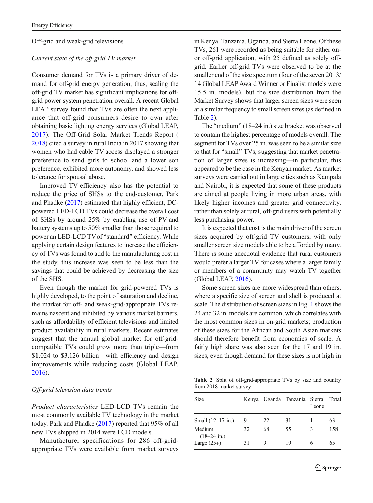#### Off-grid and weak-grid televisions

#### Current state of the off-grid TV market

Consumer demand for TVs is a primary driver of demand for off-grid energy generation; thus, scaling the off-grid TV market has significant implications for offgrid power system penetration overall. A recent Global LEAP survey found that TVs are often the next appliance that off-grid consumers desire to own after obtaining basic lighting energy services (Global LEAP, [2017](#page-23-0)). The Off-Grid Solar Market Trends Report ( [2018](#page-23-0)) cited a survey in rural India in 2017 showing that women who had cable TV access displayed a stronger preference to send girls to school and a lower son preference, exhibited more autonomy, and showed less tolerance for spousal abuse.

Improved TV efficiency also has the potential to reduce the price of SHSs to the end-customer. Park and Phadke [\(2017\)](#page-23-0) estimated that highly efficient, DCpowered LED-LCD TVs could decrease the overall cost of SHSs by around 25% by enabling use of PV and battery systems up to 50% smaller than those required to power an LED-LCD TV of "standard" efficiency. While applying certain design features to increase the efficiency of TVs was found to add to the manufacturing cost in the study, this increase was seen to be less than the savings that could be achieved by decreasing the size of the SHS.

Even though the market for grid-powered TVs is highly developed, to the point of saturation and decline, the market for off- and weak-grid-appropriate TVs remains nascent and inhibited by various market barriers, such as affordability of efficient televisions and limited product availability in rural markets. Recent estimates suggest that the annual global market for off-gridcompatible TVs could grow more than triple—from \$1.024 to \$3.126 billion—with efficiency and design improvements while reducing costs (Global LEAP, [2016](#page-23-0)).

## Off-grid television data trends

Product characteristics LED-LCD TVs remain the most commonly available TV technology in the market today. Park and Phadke [\(2017\)](#page-23-0) reported that 95% of all new TVs shipped in 2014 were LCD models.

Manufacturer specifications for 286 off-gridappropriate TVs were available from market surveys in Kenya, Tanzania, Uganda, and Sierra Leone. Of these TVs, 261 were recorded as being suitable for either onor off-grid application, with 25 defined as solely offgrid. Earlier off-grid TVs were observed to be at the smaller end of the size spectrum (four of the seven 2013/ 14 Global LEAP Award Winner or Finalist models were 15.5 in. models), but the size distribution from the Market Survey shows that larger screen sizes were seen at a similar frequency to small screen sizes (as defined in Table 2).

The "medium" (18–24 in.) size bracket was observed to contain the highest percentage of models overall. The segment for TVs over 25 in. was seen to be a similar size to that for "small" TVs, suggesting that market penetration of larger sizes is increasing—in particular, this appeared to be the case in the Kenyan market. As market surveys were carried out in large cities such as Kampala and Nairobi, it is expected that some of these products are aimed at people living in more urban areas, with likely higher incomes and greater grid connectivity, rather than solely at rural, off-grid users with potentially less purchasing power.

It is expected that cost is the main driver of the screen sizes acquired by off-grid TV customers, with only smaller screen size models able to be afforded by many. There is some anecdotal evidence that rural customers would prefer a larger TV for cases where a larger family or members of a community may watch TV together (Global LEAP, [2016\)](#page-23-0).

Some screen sizes are more widespread than others, where a specific size of screen and shell is produced at scale. The distribution of screen sizes in Fig. [1](#page-5-0) shows the 24 and 32 in. models are common, which correlates with the most common sizes in on-grid markets; production of these sizes for the African and South Asian markets should therefore benefit from economies of scale. A fairly high share was also seen for the 17 and 19 in. sizes, even though demand for these sizes is not high in

Table 2 Split of off-grid-appropriate TVs by size and country from 2018 market survey

| <b>Size</b>                 |    |    | Kenya Uganda Tanzania Sierra | Leone | Total |
|-----------------------------|----|----|------------------------------|-------|-------|
| Small $(12-17 \text{ in.})$ | 9  | 22 | 31                           |       | 63    |
| Medium<br>$(18-24)$ in.)    | 32 | 68 | 55                           | 3     | 158   |
| Large $(25+)$               | 31 | 9  | 19                           |       | 65    |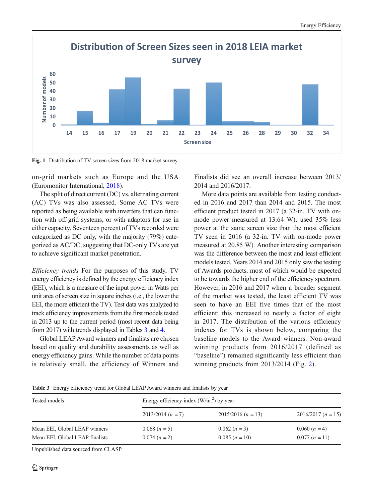<span id="page-5-0"></span>

Fig. 1 Distribution of TV screen sizes from 2018 market survey

on-grid markets such as Europe and the USA (Euromonitor International, [2018\)](#page-23-0).

The split of direct current (DC) vs. alternating current (AC) TVs was also assessed. Some AC TVs were reported as being available with inverters that can function with off-grid systems, or with adaptors for use in either capacity. Seventeen percent of TVs recorded were categorized as DC only, with the majority (79%) categorized as AC/DC, suggesting that DC-only TVs are yet to achieve significant market penetration.

Efficiency trends For the purposes of this study, TV energy efficiency is defined by the energy efficiency index (EEI), which is a measure of the input power in Watts per unit area of screen size in square inches (i.e., the lower the EEI, the more efficient the TV). Test data was analyzed to track efficiency improvements from the first models tested in 2013 up to the current period (most recent data being from 2017) with trends displayed in Tables 3 and [4](#page-6-0).

Global LEAP Award winners and finalists are chosen based on quality and durability assessments as well as energy efficiency gains. While the number of data points is relatively small, the efficiency of Winners and Finalists did see an overall increase between 2013/ 2014 and 2016/2017.

More data points are available from testing conducted in 2016 and 2017 than 2014 and 2015. The most efficient product tested in 2017 (a 32-in. TV with onmode power measured at 13.64 W), used 35% less power at the same screen size than the most efficient TV seen in 2016 (a 32-in. TV with on-mode power measured at 20.85 W). Another interesting comparison was the difference between the most and least efficient models tested. Years 2014 and 2015 only saw the testing of Awards products, most of which would be expected to be towards the higher end of the efficiency spectrum. However, in 2016 and 2017 when a broader segment of the market was tested, the least efficient TV was seen to have an EEI five times that of the most efficient; this increased to nearly a factor of eight in 2017. The distribution of the various efficiency indexes for TVs is shown below, comparing the baseline models to the Award winners. Non-award winning products from 2016/2017 (defined as "baseline") remained significantly less efficient than winning products from 2013/2014 (Fig. [2](#page-6-0)).

Table 3 Energy efficiency trend for Global LEAP Award winners and finalists by year

| Tested models                   | Energy efficiency index $(W/in.^2)$ by year |                      |                      |  |
|---------------------------------|---------------------------------------------|----------------------|----------------------|--|
|                                 | $2013/2014 (n = 7)$                         | $2015/2016 (n = 13)$ | $2016/2017 (n = 15)$ |  |
| Mean EEI, Global LEAP winners   | $0.068(n=5)$                                | $0.062(n=3)$         | $0.060(n=4)$         |  |
| Mean EEI, Global LEAP finalists | $0.074(n=2)$                                | $0.085(n = 10)$      | $0.077(n = 11)$      |  |

Unpublished data sourced from CLASP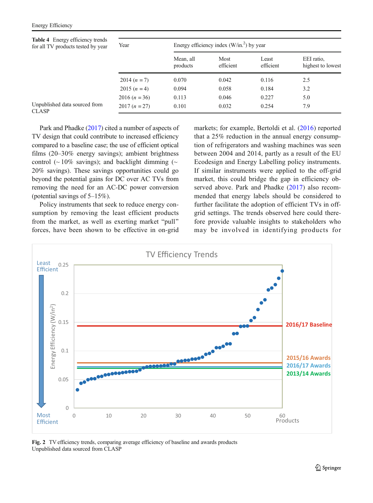<span id="page-6-0"></span>

| <b>Table 4</b> Energy efficiency trends<br>for all TV products tested by year | Year            |                       | Energy efficiency index $(W/in.^2)$ by year |                    |                                 |  |
|-------------------------------------------------------------------------------|-----------------|-----------------------|---------------------------------------------|--------------------|---------------------------------|--|
|                                                                               |                 | Mean, all<br>products | Most<br>efficient                           | Least<br>efficient | EEI ratio,<br>highest to lowest |  |
|                                                                               | $2014(n=7)$     | 0.070                 | 0.042                                       | 0.116              | 2.5                             |  |
|                                                                               | 2015 $(n = 4)$  | 0.094                 | 0.058                                       | 0.184              | 3.2                             |  |
|                                                                               | $2016 (n = 36)$ | 0.113                 | 0.046                                       | 0.227              | 5.0                             |  |
| Unpublished data sourced from<br><b>CLASP</b>                                 | $2017(n=27)$    | 0.101                 | 0.032                                       | 0.254              | 7.9                             |  |

Park and Phadke ([2017](#page-23-0)) cited a number of aspects of TV design that could contribute to increased efficiency compared to a baseline case; the use of efficient optical films (20–30% energy savings); ambient brightness control ( $\sim$  10% savings); and backlight dimming ( $\sim$ 20% savings). These savings opportunities could go beyond the potential gains for DC over AC TVs from removing the need for an AC-DC power conversion (potential savings of 5–15%).

Policy instruments that seek to reduce energy consumption by removing the least efficient products from the market, as well as exerting market "pull" forces, have been shown to be effective in on-grid markets; for example, Bertoldi et al. ([2016](#page-23-0)) reported that a 25% reduction in the annual energy consumption of refrigerators and washing machines was seen between 2004 and 2014, partly as a result of the EU Ecodesign and Energy Labelling policy instruments. If similar instruments were applied to the off-grid market, this could bridge the gap in efficiency observed above. Park and Phadke ([2017](#page-23-0)) also recommended that energy labels should be considered to further facilitate the adoption of efficient TVs in offgrid settings. The trends observed here could therefore provide valuable insights to stakeholders who may be involved in identifying products for



Fig. 2 TV efficiency trends, comparing average efficiency of baseline and awards products Unpublished data sourced from CLASP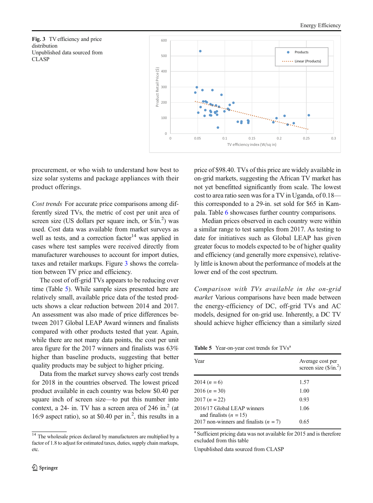Fig. 3 TV efficiency and price distribution Unpublished data sourced from **CLASP** 



procurement, or who wish to understand how best to size solar systems and package appliances with their product offerings.

Cost trends For accurate price comparisons among differently sized TVs, the metric of cost per unit area of screen size (US dollars per square inch, or  $\frac{\sinh^2}{\sinh^2}$  was used. Cost data was available from market surveys as well as tests, and a correction factor<sup>14</sup> was applied in cases where test samples were received directly from manufacturer warehouses to account for import duties, taxes and retailer markups. Figure 3 shows the correlation between TV price and efficiency.

The cost of off-grid TVs appears to be reducing over time (Table 5). While sample sizes presented here are relatively small, available price data of the tested products shows a clear reduction between 2014 and 2017. An assessment was also made of price differences between 2017 Global LEAP Award winners and finalists compared with other products tested that year. Again, while there are not many data points, the cost per unit area figure for the 2017 winners and finalists was 63% higher than baseline products, suggesting that better quality products may be subject to higher pricing.

Data from the market survey shows early cost trends for 2018 in the countries observed. The lowest priced product available in each country was below \$0.40 per square inch of screen size—to put this number into context, a  $24$ - in. TV has a screen area of  $246$  in.<sup>2</sup> (at 16:9 aspect ratio), so at \$0.40 per in.<sup>2</sup>, this results in a

price of \$98.40. TVs of this price are widely available in on-grid markets, suggesting the African TV market has not yet benefitted significantly from scale. The lowest cost to area ratio seen was for a TV in Uganda, of 0.18 this corresponded to a 29-in. set sold for \$65 in Kampala. Table [6](#page-8-0) showcases further country comparisons.

Median prices observed in each country were within a similar range to test samples from 2017. As testing to date for initiatives such as Global LEAP has given greater focus to models expected to be of higher quality and efficiency (and generally more expensive), relatively little is known about the performance of models at the lower end of the cost spectrum.

Comparison with TVs available in the on-grid market Various comparisons have been made between the energy-efficiency of DC, off-grid TVs and AC models, designed for on-grid use. Inherently, a DC TV should achieve higher efficiency than a similarly sized

Table 5 Year-on-year cost trends for  $TVs<sup>a</sup>$ 

| Year                                                    | Average cost per<br>screen size $(\frac{5}{\text{in.}}^2)$ |
|---------------------------------------------------------|------------------------------------------------------------|
| $2014(n=6)$                                             | 1.57                                                       |
| 2016 $(n = 30)$                                         | 1.00                                                       |
| $2017(n=22)$                                            | 0.93                                                       |
| 2016/17 Global LEAP winners<br>and finalists $(n = 15)$ | 1.06                                                       |
| 2017 non-winners and finalists $(n = 7)$                | 0.65                                                       |

<sup>a</sup> Sufficient pricing data was not available for 2015 and is therefore excluded from this table

Unpublished data sourced from CLASP

<sup>&</sup>lt;sup>14</sup> The wholesale prices declared by manufacturers are multiplied by a factor of 1.8 to adjust for estimated taxes, duties, supply chain markups, etc.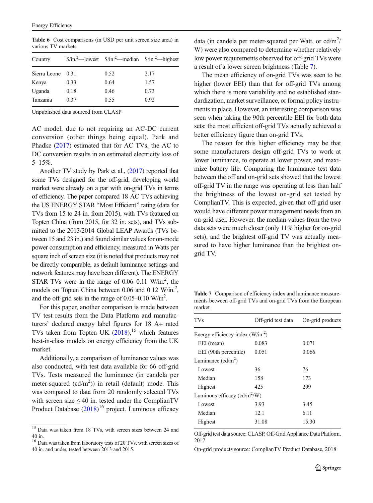| 0.31 | 0.52 | 2.17                                                                                                           |
|------|------|----------------------------------------------------------------------------------------------------------------|
| 0.33 | 0.64 | 1.57                                                                                                           |
| 0.18 | 0.46 | 0.73                                                                                                           |
| 0.37 | 0.55 | 0.92                                                                                                           |
|      |      | $\frac{\sin^2\frac{1}{2}}{\sin^2\frac{1}{2}}$ = lowest $\frac{\sin^2\frac{1}{2}}{\sin^2\frac{1}{2}}$ = highest |

<span id="page-8-0"></span>Table 6 Cost comparisons (in USD per unit screen size area) in various TV markets

Unpublished data sourced from CLASP

AC model, due to not requiring an AC-DC current conversion (other things being equal). Park and Phadke [\(2017\)](#page-23-0) estimated that for AC TVs, the AC to DC conversion results in an estimated electricity loss of 5–15%.

Another TV study by Park et al., [\(2017\)](#page-23-0) reported that some TVs designed for the off-grid, developing world market were already on a par with on-grid TVs in terms of efficiency. The paper compared 18 AC TVs achieving the US ENERGY STAR "Most Efficient" rating (data for TVs from 15 to 24 in. from 2015), with TVs featured on Topten China (from 2015, for 32 in. sets), and TVs submitted to the 2013/2014 Global LEAP Awards (TVs between 15 and 23 in.) and found similar values for on-mode power consumption and efficiency, measured in Watts per square inch of screen size (it is noted that products may not be directly comparable, as default luminance settings and network features may have been different). The ENERGY STAR TVs were in the range of  $0.06-0.11$  W/in.<sup>2</sup>, the models on Topten China between 0.06 and 0.12 W/in.<sup>2</sup>, and the off-grid sets in the range of  $0.05-0.10$  W/in<sup>2</sup>.

For this paper, another comparison is made between TV test results from the Data Platform and manufacturers' declared energy label figures for 18 A+ rated TVs taken from Topten UK  $(2018)^{15}$  $(2018)^{15}$  $(2018)^{15}$  which features best-in-class models on energy efficiency from the UK market.

Additionally, a comparison of luminance values was also conducted, with test data available for 66 off-grid TVs. Tests measured the luminance (in candela per meter-squared  $(cd/m^2)$ ) in retail (default) mode. This was compared to data from 20 randomly selected TVs with screen size  $\leq 40$  in. tested under the ComplianTV Product Database [\(2018\)](#page-23-0)<sup>16</sup> project. Luminous efficacy

data (in candela per meter-squared per Watt, or  $cd/m^2$ ) W) were also compared to determine whether relatively low power requirements observed for off-grid TVs were a result of a lower screen brightness (Table 7).

The mean efficiency of on-grid TVs was seen to be higher (lower EEI) than that for off-grid TVs among which there is more variability and no established standardization, market surveillance, or formal policy instruments in place. However, an interesting comparison was seen when taking the 90th percentile EEI for both data sets: the most efficient off-grid TVs actually achieved a better efficiency figure than on-grid TVs.

The reason for this higher efficiency may be that some manufacturers design off-grid TVs to work at lower luminance, to operate at lower power, and maximize battery life. Comparing the luminance test data between the off and on-grid sets showed that the lowest off-grid TV in the range was operating at less than half the brightness of the lowest on-grid set tested by ComplianTV. This is expected, given that off-grid user would have different power management needs from an on-grid user. However, the median values from the two data sets were much closer (only 11% higher for on-grid sets), and the brightest off-grid TV was actually measured to have higher luminance than the brightest ongrid TV.

Table 7 Comparison of efficiency index and luminance measurements between off-grid TVs and on-grid TVs from the European market

| <b>TVs</b>                          | Off-grid test data | On-grid products |
|-------------------------------------|--------------------|------------------|
| Energy efficiency index $(W/in.^2)$ |                    |                  |
| EEI (mean)                          | 0.083              | 0.071            |
| EEI (90th percentile)               | 0.051              | 0.066            |
| Luminance $(cd/m^2)$                |                    |                  |
| Lowest                              | 36                 | 76               |
| Median                              | 158                | 173              |
| Highest                             | 425                | 299              |
| Luminous efficacy $(cd/m^2/W)$      |                    |                  |
| Lowest                              | 3.93               | 3.45             |
| Median                              | 12.1               | 6.11             |
| Highest                             | 31.08              | 15.30            |
|                                     |                    |                  |

Off-grid test data source: CLASP, Off-Grid Appliance Data Platform, 2017

On-grid products source: ComplianTV Product Database, 2018

<sup>&</sup>lt;sup>15</sup> Data was taken from 18 TVs, with screen sizes between 24 and 40 in.

<sup>&</sup>lt;sup>16</sup> Data was taken from laboratory tests of 20 TVs, with screen sizes of 40 in. and under, tested between 2013 and 2015.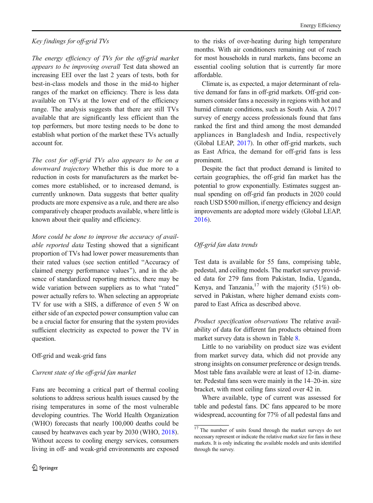## Key findings for off-grid TVs

The energy efficiency of TVs for the off-grid market appears to be improving overall Test data showed an increasing EEI over the last 2 years of tests, both for best-in-class models and those in the mid-to higher ranges of the market on efficiency. There is less data available on TVs at the lower end of the efficiency range. The analysis suggests that there are still TVs available that are significantly less efficient than the top performers, but more testing needs to be done to establish what portion of the market these TVs actually account for.

The cost for off-grid TVs also appears to be on a downward trajectory Whether this is due more to a reduction in costs for manufacturers as the market becomes more established, or to increased demand, is currently unknown. Data suggests that better quality products are more expensive as a rule, and there are also comparatively cheaper products available, where little is known about their quality and efficiency.

More could be done to improve the accuracy of available reported data Testing showed that a significant proportion of TVs had lower power measurements than their rated values (see section entitled "Accuracy of claimed energy performance values^), and in the absence of standardized reporting metrics, there may be wide variation between suppliers as to what "rated" power actually refers to. When selecting an appropriate TV for use with a SHS, a difference of even 5 W on either side of an expected power consumption value can be a crucial factor for ensuring that the system provides sufficient electricity as expected to power the TV in question.

Off-grid and weak-grid fans

## Current state of the off-grid fan market

Fans are becoming a critical part of thermal cooling solutions to address serious health issues caused by the rising temperatures in some of the most vulnerable developing countries. The World Health Organization (WHO) forecasts that nearly 100,000 deaths could be caused by heatwaves each year by 2030 (WHO, [2018\)](#page-23-0). Without access to cooling energy services, consumers living in off- and weak-grid environments are exposed

to the risks of over-heating during high temperature months. With air conditioners remaining out of reach for most households in rural markets, fans become an essential cooling solution that is currently far more affordable.

Climate is, as expected, a major determinant of relative demand for fans in off-grid markets. Off-grid consumers consider fans a necessity in regions with hot and humid climate conditions, such as South Asia. A 2017 survey of energy access professionals found that fans ranked the first and third among the most demanded appliances in Bangladesh and India, respectively (Global LEAP, [2017](#page-23-0)). In other off-grid markets, such as East Africa, the demand for off-grid fans is less prominent.

Despite the fact that product demand is limited to certain geographies, the off-grid fan market has the potential to grow exponentially. Estimates suggest annual spending on off-grid fan products in 2020 could reach USD \$500 million, if energy efficiency and design improvements are adopted more widely (Global LEAP, [2016](#page-23-0)).

# Off-grid fan data trends

Test data is available for 55 fans, comprising table, pedestal, and ceiling models. The market survey provided data for 279 fans from Pakistan, India, Uganda, Kenya, and Tanzania,  $17$  with the majority (51%) observed in Pakistan, where higher demand exists compared to East Africa as described above.

Product specification observations The relative availability of data for different fan products obtained from market survey data is shown in Table [8.](#page-10-0)

Little to no variability on product size was evident from market survey data, which did not provide any strong insights on consumer preference or design trends. Most table fans available were at least of 12-in. diameter. Pedestal fans seen were mainly in the 14–20-in. size bracket, with most ceiling fans sized over 42 in.

Where available, type of current was assessed for table and pedestal fans. DC fans appeared to be more widespread, accounting for 77% of all pedestal fans and

<sup>&</sup>lt;sup>17</sup> The number of units found through the market surveys do not necessary represent or indicate the relative market size for fans in these markets. It is only indicating the available models and units identified through the survey.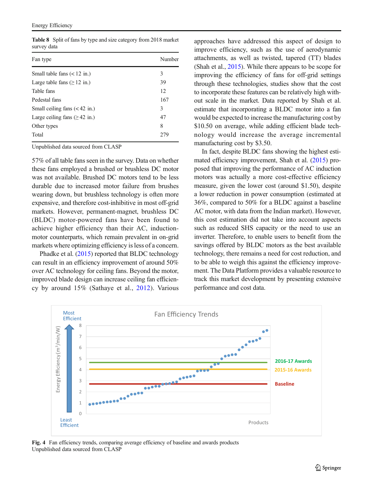<span id="page-10-0"></span>Table 8 Split of fans by type and size category from 2018 market survey data

| Fan type                                   | Number |
|--------------------------------------------|--------|
| Small table fans $(< 12$ in.)              | 3      |
| Large table fans $( \geq 12 \text{ in.})$  | 39     |
| Table fans                                 | 12     |
| Pedestal fans                              | 167    |
| Small ceiling fans $(< 42$ in.)            | 3      |
| Large ceiling fans $(\geq 42 \text{ in.})$ | 47     |
| Other types                                | 8      |
| Total                                      | 279    |
|                                            |        |

Unpublished data sourced from CLASP

57% of all table fans seen in the survey. Data on whether these fans employed a brushed or brushless DC motor was not available. Brushed DC motors tend to be less durable due to increased motor failure from brushes wearing down, but brushless technology is often more expensive, and therefore cost-inhibitive in most off-grid markets. However, permanent-magnet, brushless DC (BLDC) motor-powered fans have been found to achieve higher efficiency than their AC, inductionmotor counterparts, which remain prevalent in on-grid markets where optimizing efficiency is less of a concern.

Phadke et al. ([2015](#page-23-0)) reported that BLDC technology can result in an efficiency improvement of around 50% over AC technology for ceiling fans. Beyond the motor, improved blade design can increase ceiling fan efficiency by around 15% (Sathaye et al., [2012\)](#page-23-0). Various approaches have addressed this aspect of design to improve efficiency, such as the use of aerodynamic attachments, as well as twisted, tapered (TT) blades (Shah et al., [2015\)](#page-24-0). While there appears to be scope for improving the efficiency of fans for off-grid settings through these technologies, studies show that the cost to incorporate these features can be relatively high without scale in the market. Data reported by Shah et al. estimate that incorporating a BLDC motor into a fan would be expected to increase the manufacturing cost by \$10.50 on average, while adding efficient blade technology would increase the average incremental manufacturing cost by \$3.50.

In fact, despite BLDC fans showing the highest estimated efficiency improvement, Shah et al. [\(2015\)](#page-24-0) proposed that improving the performance of AC induction motors was actually a more cost-effective efficiency measure, given the lower cost (around \$1.50), despite a lower reduction in power consumption (estimated at 36%, compared to 50% for a BLDC against a baseline AC motor, with data from the Indian market). However, this cost estimation did not take into account aspects such as reduced SHS capacity or the need to use an inverter. Therefore, to enable users to benefit from the savings offered by BLDC motors as the best available technology, there remains a need for cost reduction, and to be able to weigh this against the efficiency improvement. The Data Platform provides a valuable resource to track this market development by presenting extensive performance and cost data.



Fig. 4 Fan efficiency trends, comparing average efficiency of baseline and awards products Unpublished data sourced from CLASP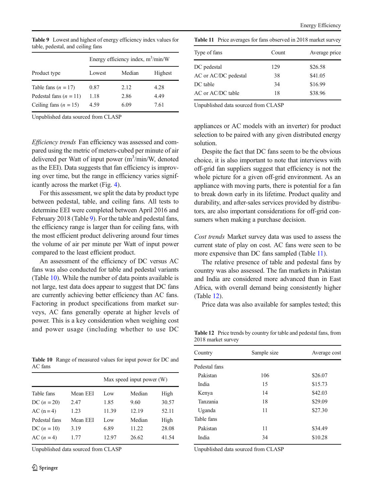|                          | Energy efficiency index, $m^3/min/W$ |        |         |  |
|--------------------------|--------------------------------------|--------|---------|--|
| Product type             | Lowest                               | Median | Highest |  |
| Table fans $(n = 17)$    | 0.87                                 | 2.12   | 4.28    |  |
| Pedestal fans $(n = 11)$ | 1.18                                 | 2.86   | 4.49    |  |
| Ceiling fans $(n = 15)$  | 4.59                                 | 6.09   | 7.61    |  |

Table 9 Lowest and highest of energy efficiency index values for table, pedestal, and ceiling fans

Unpublished data sourced from CLASP

Efficiency trends Fan efficiency was assessed and compared using the metric of meters-cubed per minute of air delivered per Watt of input power (m<sup>3</sup>/min/W, denoted as the EEI). Data suggests that fan efficiency is improving over time, but the range in efficiency varies significantly across the market (Fig. [4](#page-10-0)).

For this assessment, we split the data by product type between pedestal, table, and ceiling fans. All tests to determine EEI were completed between April 2016 and February 2018 (Table 9). For the table and pedestal fans, the efficiency range is larger than for ceiling fans, with the most efficient product delivering around four times the volume of air per minute per Watt of input power compared to the least efficient product.

An assessment of the efficiency of DC versus AC fans was also conducted for table and pedestal variants (Table 10). While the number of data points available is not large, test data does appear to suggest that DC fans are currently achieving better efficiency than AC fans. Factoring in product specifications from market surveys, AC fans generally operate at higher levels of power. This is a key consideration when weighing cost and power usage (including whether to use DC

Table 10 Range of measured values for input power for DC and AC fans

|               |          | Max speed input power (W) |        |       |
|---------------|----------|---------------------------|--------|-------|
| Table fans    | Mean EEI | Low                       | Median | High  |
| DC $(n = 20)$ | 2.47     | 1.85                      | 9.60   | 30.57 |
| $AC(n=4)$     | 1.23     | 11.39                     | 12.19  | 52.11 |
| Pedestal fans | Mean EEI | Low                       | Median | High  |
| DC $(n = 10)$ | 3.19     | 6.89                      | 11.22  | 28.08 |
| $AC(n=4)$     | 1.77     | 12.97                     | 26.62  | 41.54 |

Unpublished data sourced from CLASP

| Type of fans         | Count | Average price |  |
|----------------------|-------|---------------|--|
| DC pedestal          | 129   | \$26.58       |  |
| AC or AC/DC pedestal | 38    | \$41.05       |  |
| DC table             | 34    | \$16.99       |  |
| AC or AC/DC table    | 18    | \$38.96       |  |

Unpublished data sourced from CLASP

appliances or AC models with an inverter) for product selection to be paired with any given distributed energy solution.

Despite the fact that DC fans seem to be the obvious choice, it is also important to note that interviews with off-grid fan suppliers suggest that efficiency is not the whole picture for a given off-grid environment. As an appliance with moving parts, there is potential for a fan to break down early in its lifetime. Product quality and durability, and after-sales services provided by distributors, are also important considerations for off-grid consumers when making a purchase decision.

Cost trends Market survey data was used to assess the current state of play on cost. AC fans were seen to be more expensive than DC fans sampled (Table 11).

The relative presence of table and pedestal fans by country was also assessed. The fan markets in Pakistan and India are considered more advanced than in East Africa, with overall demand being consistently higher (Table 12).

Price data was also available for samples tested; this

Table 12 Price trends by country for table and pedestal fans, from 2018 market survey

| Sample size | Average cost |  |
|-------------|--------------|--|
|             |              |  |
| 106         | \$26.07      |  |
| 15          | \$15.73      |  |
| 14          | \$42.03      |  |
| 18          | \$29.09      |  |
| 11          | \$27.30      |  |
|             |              |  |
| 11          | \$34.49      |  |
| 34          | \$10.28      |  |
|             |              |  |

Unpublished data sourced from CLASP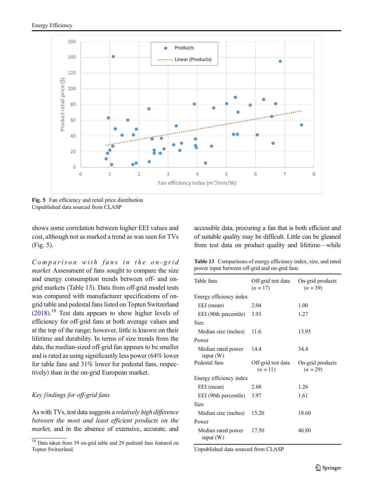

Fig. 5 Fan efficiency and retail price distribution Unpublished data sourced from CLASP

shows some correlation between higher EEI values and cost, although not as marked a trend as was seen for TVs (Fig. 5).

Comparison with fans in the on-grid market Assessment of fans sought to compare the size and energy consumption trends between off- and ongrid markets (Table 13). Data from off-grid model tests was compared with manufacturer specifications of ongrid table and pedestal fans listed on Topten Switzerland  $(2018).$  $(2018).$  $(2018).$ <sup>18</sup> Test data appears to show higher levels of efficiency for off-grid fans at both average values and at the top of the range; however, little is known on their lifetime and durability. In terms of size trends from the data, the median-sized off-grid fan appears to be smaller and is rated as using significantly less power (64% lower for table fans and 31% lower for pedestal fans, respectively) than in the on-grid European market.

#### Key findings for off-grid fans

As with TVs, test data suggests a relatively high difference between the most and least efficient products on the market, and in the absence of extensive, accurate, and accessible data, procuring a fan that is both efficient and of suitable quality may be difficult. Little can be gleaned from test data on product quality and lifetime—while

Table 13 Comparisons of energy efficiency index, size, and rated power input between off-grid and on-grid fans

| Table fans                        | Off-grid test data<br>$(n = 17)$ | On-grid products<br>$(n = 39)$ |
|-----------------------------------|----------------------------------|--------------------------------|
| Energy efficiency index           |                                  |                                |
| EEI (mean)                        | 2.04                             | 1.00                           |
| EEI (90th percentile)             | 3.93                             | 1.27                           |
| Size                              |                                  |                                |
| Median size (inches)              | 11.6                             | 13.95                          |
| Power                             |                                  |                                |
| Median rated power<br>input $(W)$ | 14.4                             | 34.4                           |
| Pedestal fans                     | Off-grid test data<br>$(n = 11)$ | On-grid products<br>$(n = 29)$ |
| Energy efficiency index           |                                  |                                |
| EEI (mean)                        | 2.68                             | 1.26                           |
| EEI (90th percentile)             | 3.97                             | 1.61                           |
| Size                              |                                  |                                |
| Median size (inches)              | 15.20                            | 18.60                          |
| Power                             |                                  |                                |
| Median rated power<br>input $(W)$ | 17.50                            | 46.80                          |

Unpublished data sourced from CLASP

<sup>&</sup>lt;sup>18</sup> Data taken from 39 on-grid table and 29 pedestal fans featured on Topten Switzerland.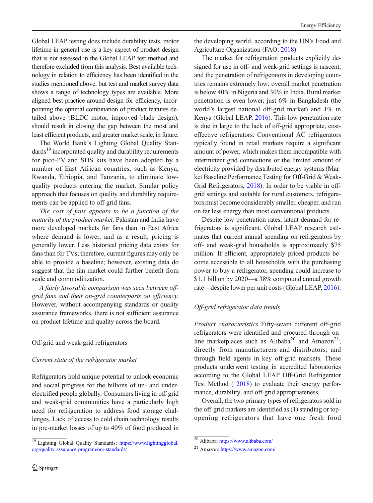Global LEAP testing does include durability tests, motor lifetime in general use is a key aspect of product design that is not assessed in the Global LEAP test method and therefore excluded from this analysis. Best available technology in relation to efficiency has been identified in the studies mentioned above, but test and market survey data shows a range of technology types are available. More aligned best-practice around design for efficiency, incorporating the optimal combination of product features detailed above (BLDC motor, improved blade design), should result in closing the gap between the most and least efficient products, and greater market scale, in future.

The World Bank's Lighting Global Quality Standards<sup>19</sup> incorporated quality and durability requirements for pico-PV and SHS kits have been adopted by a number of East African countries, such as Kenya, Rwanda, Ethiopia, and Tanzania, to eliminate lowquality products entering the market. Similar policy approach that focuses on quality and durability requirements can be applied to off-grid fans.

The cost of fans appears to be a function of the maturity of the product market. Pakistan and India have more developed markets for fans than in East Africa where demand is lower, and as a result, pricing is generally lower. Less historical pricing data exists for fans than for TVs; therefore, current figures may only be able to provide a baseline; however, existing data do suggest that the fan market could further benefit from scale and commoditization.

A fairly favorable comparison was seen between offgrid fans and their on-grid counterparts on efficiency. However, without accompanying standards or quality assurance frameworks, there is not sufficient assurance on product lifetime and quality across the board.

## Off-grid and weak-grid refrigerators

#### Current state of the refrigerator market

Refrigerators hold unique potential to unlock economic and social progress for the billions of un- and underelectrified people globally. Consumers living in off-grid and weak-grid communities have a particularly high need for refrigeration to address food storage challenges. Lack of access to cold chain technology results in pre-market losses of up to 40% of food produced in the developing world, according to the UN's Food and Agriculture Organization (FAO, [2018](#page-23-0)).

The market for refrigeration products explicitly designed for use in off- and weak-grid settings is nascent, and the penetration of refrigerators in developing countries remains extremely low: overall market penetration is below 40% in Nigeria and 30% in India. Rural market penetration is even lower, just 6% in Bangladesh (the world's largest national off-grid market) and 1% in Kenya (Global LEAP, [2016\)](#page-23-0). This low penetration rate is due in large to the lack of off-grid appropriate, costeffective refrigerators. Conventional AC refrigerators typically found in retail markets require a significant amount of power, which makes them incompatible with intermittent grid connections or the limited amount of electricity provided by distributed energy systems (Market Baseline Performance Testing for Off-Grid & Weak-Grid Refrigerators, [2018\)](#page-23-0). In order to be viable in offgrid settings and suitable for rural customers, refrigerators must become considerably smaller, cheaper, and run on far less energy than most conventional products.

Despite low penetration rates, latent demand for refrigerators is significant. Global LEAP research estimates that current annual spending on refrigerators by off- and weak-grid households is approximately \$75 million. If efficient, appropriately priced products become accessible to all households with the purchasing power to buy a refrigerator, spending could increase to \$1.1 billion by 2020—a 38% compound annual growth rate—despite lower per unit costs (Global LEAP, [2016\)](#page-23-0).

#### Off-grid refrigerator data trends

Product characteristics Fifty-seven different off-grid refrigerators were identified and procured through online marketplaces such as Alibaba<sup>20</sup> and Amazon<sup>21</sup>; directly from manufacturers and distributors; and through field agents in key off-grid markets. These products underwent testing in accredited laboratories according to the Global LEAP Off-Grid Refrigerator Test Method ( [2018](#page-23-0)) to evaluate their energy performance, durability, and off-grid appropriateness.

Overall, the two primary types of refrigerators sold in the off-grid markets are identified as (1) standing or topopening refrigerators that have one fresh food

<sup>19</sup> Lighting Global Quality Standards: [https://www.lightingglobal.](https://www.lightingglobal.org/quality-assurance-program/our-standards/) [org/quality-assurance-program/our-standards/](https://www.lightingglobal.org/quality-assurance-program/our-standards/)

<sup>20</sup> Alibaba: <https://www.alibaba.com/>

<sup>21</sup> Amazon: <https://www.amazon.com/>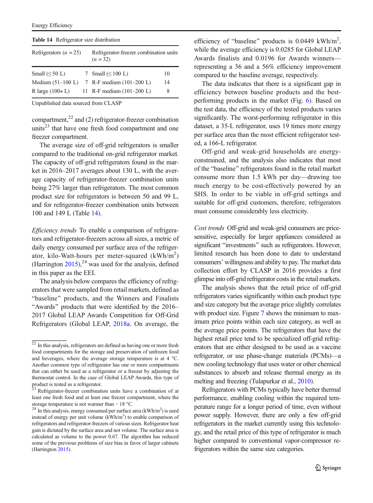|  | Table 14 Refrigerator size distribution |  |  |
|--|-----------------------------------------|--|--|
|--|-----------------------------------------|--|--|

| Refrigerator-freezer combination units<br>$(n = 32)$ |  |  |
|------------------------------------------------------|--|--|
|                                                      |  |  |
|                                                      |  |  |
|                                                      |  |  |
|                                                      |  |  |

Unpublished data sourced from CLASP

compartment, $^{22}$  and (2) refrigerator-freezer combination units $^{23}$  that have one fresh food compartment and one freezer compartment.

The average size of off-grid refrigerators is smaller compared to the traditional on-grid refrigerator market. The capacity of off-grid refrigerators found in the market in 2016–2017 averages about 130 L, with the average capacity of refrigerator-freezer combination units being 27% larger than refrigerators. The most common product size for refrigerators is between 50 and 99 L, and for refrigerator-freezer combination units between 100 and 149 L (Table 14).

Efficiency trends To enable a comparison of refrigerators and refrigerator-freezers across all sizes, a metric of daily energy consumed per surface area of the refrigerator, kilo-Watt-hours per meter-squared  $(kWh/m^2)$ (Harrington  $2015$ ),<sup>24</sup> was used for the analysis, defined in this paper as the EEI.

The analysis below compares the efficiency of refrigerators that were sampled from retail markets, defined as "baseline" products, and the Winners and Finalists "Awards" products that were identified by the 2016– 2017 Global LEAP Awards Competition for Off-Grid Refrigerators (Global LEAP, [2018a](#page-23-0). On average, the

efficiency of "baseline" products is  $0.0449$  kWh/m<sup>2</sup>, while the average efficiency is 0.0285 for Global LEAP Awards finalists and 0.0196 for Awards winners representing a 36 and a 56% efficiency improvement compared to the baseline average, respectively.

The data indicates that there is a significant gap in efficiency between baseline products and the bestperforming products in the market (Fig. [6\)](#page-15-0). Based on the test data, the efficiency of the tested products varies significantly. The worst-performing refrigerator in this dataset, a 35-L refrigerator, uses 19 times more energy per surface area than the most efficient refrigerator tested, a 166-L refrigerator.

Off-grid and weak-grid households are energyconstrained, and the analysis also indicates that most of the "baseline" refrigerators found in the retail market consume more than 1.5 kWh per day—drawing too much energy to be cost-effectively powered by an SHS. In order to be viable in off-grid settings and suitable for off-grid customers, therefore, refrigerators must consume considerably less electricity.

Cost trends Off-grid and weak-grid consumers are pricesensitive, especially for larger appliances considered as significant "investments" such as refrigerators. However, limited research has been done to date to understand consumers' willingness and ability to pay. The market data collection effort by CLASP in 2016 provides a first glimpse into off-grid refrigerator costs in the retail markets.

The analysis shows that the retail price of off-grid refrigerators varies significantly within each product type and size category but the average price slightly correlates with product size. Figure [7](#page-16-0) shows the minimum to maximum price points within each size category, as well as the average price points. The refrigerators that have the highest retail price tend to be specialized off-grid refrigerators that are either designed to be used as a vaccine refrigerator, or use phase-change materials (PCMs)—a new cooling technology that uses water or other chemical substances to absorb and release thermal energy as its melting and freezing (Tulapurkar et al., [2010\)](#page-24-0).

Refrigerators with PCMs typically have better thermal performance, enabling cooling within the required temperature range for a longer period of time, even without power supply. However, there are only a few off-grid refrigerators in the market currently using this technology, and the retail price of this type of refrigerator is much higher compared to conventional vapor-compressor refrigerators within the same size categories.

 $22$  In this analysis, refrigerators are defined as having one or more fresh food compartments for the storage and preservation of unfrozen food and beverages, where the average storage temperature is at 4 °C. Another common type of refrigerator has one or more compartments that can either be used as a refrigerator or a freezer by adjusting the thermostat control. In the case of Global LEAP Awards, this type of product is tested as a refrigerator.

<sup>23</sup> Refrigerator-freezer combination units have a combination of at least one fresh food and at least one freezer compartment, where the storage temperature is not warmer than − 18 °C.

 $24$  In this analysis, energy consumed per surface area (kWh/m<sup>2</sup>) is used instead of energy per unit volume  $(kWh/m<sup>3</sup>)$  to enable comparison of refrigerators and refrigerator-freezers of various sizes. Refrigerator heat gain is dictated by the surface area and not volume. The surface area is calculated as volume to the power 0.67. The algorithm has reduced some of the previous problems of size bias in favor of larger cabinets (Harrington [2015](#page-23-0)).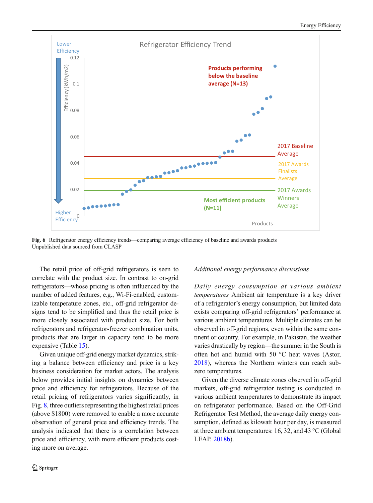<span id="page-15-0"></span>

Fig. 6 Refrigerator energy efficiency trends—comparing average efficiency of baseline and awards products Unpublished data sourced from CLASP

The retail price of off-grid refrigerators is seen to correlate with the product size. In contrast to on-grid refrigerators—whose pricing is often influenced by the number of added features, e.g., Wi-Fi-enabled, customizable temperature zones, etc., off-grid refrigerator designs tend to be simplified and thus the retail price is more closely associated with product size. For both refrigerators and refrigerator-freezer combination units, products that are larger in capacity tend to be more expensive (Table [15](#page-16-0)).

Given unique off-grid energy market dynamics, striking a balance between efficiency and price is a key business consideration for market actors. The analysis below provides initial insights on dynamics between price and efficiency for refrigerators. Because of the retail pricing of refrigerators varies significantly, in Fig. [8,](#page-17-0) three outliers representing the highest retail prices (above \$1800) were removed to enable a more accurate observation of general price and efficiency trends. The analysis indicated that there is a correlation between price and efficiency, with more efficient products costing more on average.

## Additional energy performance discussions

Daily energy consumption at various ambient temperatures Ambient air temperature is a key driver of a refrigerator's energy consumption, but limited data exists comparing off-grid refrigerators' performance at various ambient temperatures. Multiple climates can be observed in off-grid regions, even within the same continent or country. For example, in Pakistan, the weather varies drastically by region—the summer in the South is often hot and humid with 50 °C heat waves (Astor, [2018\)](#page-23-0), whereas the Northern winters can reach subzero temperatures.

Given the diverse climate zones observed in off-grid markets, off-grid refrigerator testing is conducted in various ambient temperatures to demonstrate its impact on refrigerator performance. Based on the Off-Grid Refrigerator Test Method, the average daily energy consumption, defined as kilowatt hour per day, is measured at three ambient temperatures: 16, 32, and 43 °C (Global LEAP, [2018b\)](#page-23-0).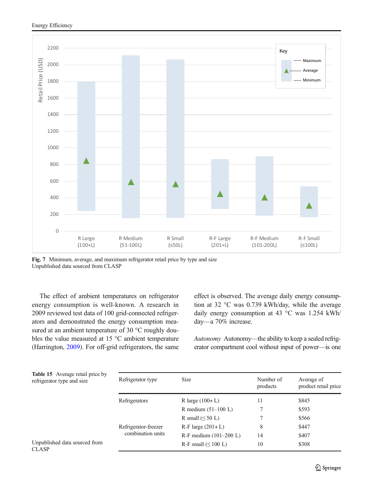<span id="page-16-0"></span>

Fig. 7 Minimum, average, and maximum refrigerator retail price by type and size Unpublished data sourced from CLASP

The effect of ambient temperatures on refrigerator energy consumption is well-known. A research in 2009 reviewed test data of 100 grid-connected refrigerators and demonstrated the energy consumption measured at an ambient temperature of 30 °C roughly doubles the value measured at 15 °C ambient temperature (Harrington, [2009](#page-23-0)). For off-grid refrigerators, the same effect is observed. The average daily energy consumption at 32 °C was 0.739 kWh/day, while the average daily energy consumption at 43 °C was 1.254 kWh/ day—a 70% increase.

Autonomy Autonomy—the ability to keep a sealed refrigerator compartment cool without input of power—is one

| <b>Table 15</b> Average retail price by<br>refrigerator type and size | Refrigerator type    | <b>Size</b>                      | Number of<br>products | Average of<br>product retail price |
|-----------------------------------------------------------------------|----------------------|----------------------------------|-----------------------|------------------------------------|
|                                                                       | Refrigerators        | R large $(100+L)$                | 11                    | \$845                              |
|                                                                       |                      | R medium $(51-100 \text{ L})$    |                       | \$593                              |
|                                                                       |                      | R small $(\leq 50 \text{ L})$    |                       | \$566                              |
|                                                                       | Refrigerator-freezer | $R-F$ large $(201+L)$            | 8                     | \$447                              |
|                                                                       | combination units    | $R-F$ medium $(101-200)$ L)      | 14                    | \$407                              |
| Unpublished data sourced from<br><b>CLASP</b>                         |                      | R-F small $(\leq 100 \text{ L})$ | 10                    | \$308                              |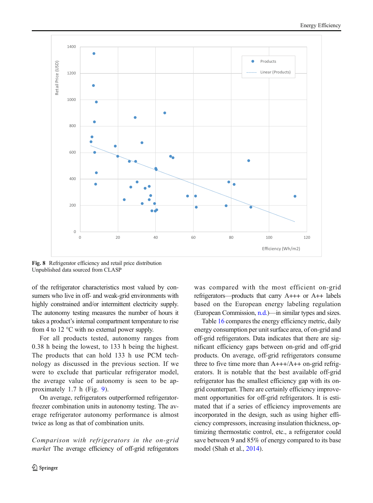<span id="page-17-0"></span>

Fig. 8 Refrigerator efficiency and retail price distribution Unpublished data sourced from CLASP

of the refrigerator characteristics most valued by consumers who live in off- and weak-grid environments with highly constrained and/or intermittent electricity supply. The autonomy testing measures the number of hours it takes a product's internal compartment temperature to rise from 4 to 12 °C with no external power supply.

For all products tested, autonomy ranges from 0.38 h being the lowest, to 133 h being the highest. The products that can hold 133 h use PCM technology as discussed in the previous section. If we were to exclude that particular refrigerator model, the average value of autonomy is seen to be approximately 1.7 h (Fig. [9\)](#page-18-0).

On average, refrigerators outperformed refrigeratorfreezer combination units in autonomy testing. The average refrigerator autonomy performance is almost twice as long as that of combination units.

Comparison with refrigerators in the on-grid market The average efficiency of off-grid refrigerators

was compared with the most efficient on-grid refrigerators—products that carry A+++ or A++ labels based on the European energy labeling regulation (European Commission, [n.d.](#page-23-0))—in similar types and sizes.

Table [16](#page-18-0) compares the energy efficiency metric, daily energy consumption per unit surface area, of on-grid and off-grid refrigerators. Data indicates that there are significant efficiency gaps between on-grid and off-grid products. On average, off-grid refrigerators consume three to five time more than  $A+++/A++$  on-grid refrigerators. It is notable that the best available off-grid refrigerator has the smallest efficiency gap with its ongrid counterpart. There are certainly efficiency improvement opportunities for off-grid refrigerators. It is estimated that if a series of efficiency improvements are incorporated in the design, such as using higher efficiency compressors, increasing insulation thickness, optimizing thermostatic control, etc., a refrigerator could save between 9 and 85% of energy compared to its base model (Shah et al., [2014\)](#page-24-0).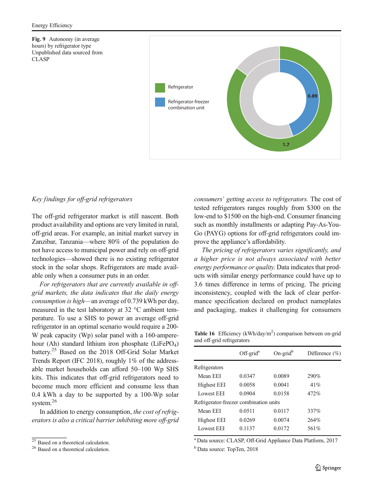<span id="page-18-0"></span>Fig. 9 Autonomy (in average hours) by refrigerator type Unpublished data sourced from **CLASP** 



#### Key findings for off-grid refrigerators

The off-grid refrigerator market is still nascent. Both product availability and options are very limited in rural, off-grid areas. For example, an initial market survey in Zanzibar, Tanzania—where 80% of the population do not have access to municipal power and rely on off-grid technologies—showed there is no existing refrigerator stock in the solar shops. Refrigerators are made available only when a consumer puts in an order.

For refrigerators that are currently available in offgrid markets, the data indicates that the daily energy consumption is high—an average of 0.739 kWh per day, measured in the test laboratory at 32 °C ambient temperature. To use a SHS to power an average off-grid refrigerator in an optimal scenario would require a 200- W peak capacity (Wp) solar panel with a 160-amperehour (Ah) standard lithium iron phosphate (LiFePO<sub>4</sub>) battery.<sup>25</sup> Based on the 2018 Off-Grid Solar Market Trends Report (IFC 2018), roughly 1% of the addressable market households can afford 50–100 Wp SHS kits. This indicates that off-grid refrigerators need to become much more efficient and consume less than 0.4 kWh a day to be supported by a 100-Wp solar system.<sup>26</sup>

In addition to energy consumption, the cost of refrigerators is also a critical barrier inhibiting more off-grid consumers' getting access to refrigerators. The cost of tested refrigerators ranges roughly from \$300 on the low-end to \$1500 on the high-end. Consumer financing such as monthly installments or adapting Pay-As-You-Go (PAYG) options for off-grid refrigerators could improve the appliance's affordability.

The pricing of refrigerators varies significantly, and a higher price is not always associated with better energy performance or quality. Data indicates that products with similar energy performance could have up to 3.6 times difference in terms of pricing. The pricing inconsistency, coupled with the lack of clear performance specification declared on product nameplates and packaging, makes it challenging for consumers

Table 16 Efficiency (kWh/day/m<sup>2</sup>) comparison between on-grid and off-grid refrigerators

|                                        | $Off\text{-}\mathrm{grid}^a$ | On-grid $b$ | Difference $(\% )$ |
|----------------------------------------|------------------------------|-------------|--------------------|
| Refrigerators                          |                              |             |                    |
| Mean EEI                               | 0.0347                       | 0.0089      | 290%               |
| Highest EEI                            | 0.0058                       | 0.0041      | 41%                |
| Lowest EEI                             | 0.0904                       | 0.0158      | 472%               |
| Refrigerator-freezer combination units |                              |             |                    |
| Mean EEI                               | 0.0511                       | 0.0117      | 337%               |
| <b>Highest EEI</b>                     | 0.0269                       | 0.0074      | 264%               |
| Lowest EEI                             | 0.1137                       | 0.0172      | 561%               |
|                                        |                              |             |                    |

a Data source: CLASP, Off-Grid Appliance Data Platform, 2017 <sup>b</sup> Data source: TopTen, 2018

 $\frac{25}{25}$  Based on a theoretical calculation.<br><sup>26</sup> Based on a theoretical calculation.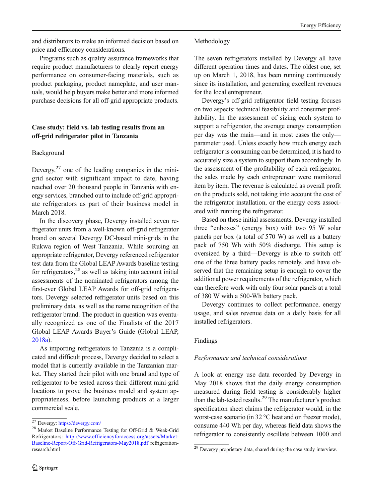and distributors to make an informed decision based on price and efficiency considerations.

Programs such as quality assurance frameworks that require product manufacturers to clearly report energy performance on consumer-facing materials, such as product packaging, product nameplate, and user manuals, would help buyers make better and more informed purchase decisions for all off-grid appropriate products.

## Case study: field vs. lab testing results from an off-grid refrigerator pilot in Tanzania

## **Background**

Devergy, $2^7$  one of the leading companies in the minigrid sector with significant impact to date, having reached over 20 thousand people in Tanzania with energy services, branched out to include off-grid appropriate refrigerators as part of their business model in March 2018.

In the discovery phase, Devergy installed seven refrigerator units from a well-known off-grid refrigerator brand on several Devergy DC-based mini-grids in the Rukwa region of West Tanzania. While sourcing an appropriate refrigerator, Devergy referenced refrigerator test data from the Global LEAP Awards baseline testing for refrigerators, $28$  as well as taking into account initial assessments of the nominated refrigerators among the first-ever Global LEAP Awards for off-grid refrigerators. Devergy selected refrigerator units based on this preliminary data, as well as the name recognition of the refrigerator brand. The product in question was eventually recognized as one of the Finalists of the 2017 Global LEAP Awards Buyer's Guide (Global LEAP, [2018a\)](#page-23-0).

As importing refrigerators to Tanzania is a complicated and difficult process, Devergy decided to select a model that is currently available in the Tanzanian market. They started their pilot with one brand and type of refrigerator to be tested across their different mini-grid locations to prove the business model and system appropriateness, before launching products at a larger commercial scale.

## Methodology

The seven refrigerators installed by Devergy all have different operation times and dates. The oldest one, set up on March 1, 2018, has been running continuously since its installation, and generating excellent revenues for the local entrepreneur.

Devergy's off-grid refrigerator field testing focuses on two aspects: technical feasibility and consumer profitability. In the assessment of sizing each system to support a refrigerator, the average energy consumption per day was the main—and in most cases the only parameter used. Unless exactly how much energy each refrigerator is consuming can be determined, it is hard to accurately size a system to support them accordingly. In the assessment of the profitability of each refrigerator, the sales made by each entrepreneur were monitored item by item. The revenue is calculated as overall profit on the products sold, not taking into account the cost of the refrigerator installation, or the energy costs associated with running the refrigerator.

Based on these initial assessments, Devergy installed three "enboxes" (energy box) with two 95 W solar panels per box (a total of 570 W) as well as a battery pack of 750 Wh with 50% discharge. This setup is oversized by a third—Devergy is able to switch off one of the three battery packs remotely, and have observed that the remaining setup is enough to cover the additional power requirements of the refrigerator, which can therefore work with only four solar panels at a total of 380 W with a 500-Wh battery pack.

Devergy continues to collect performance, energy usage, and sales revenue data on a daily basis for all installed refrigerators.

## Findings

## Performance and technical considerations

A look at energy use data recorded by Devergy in May 2018 shows that the daily energy consumption measured during field testing is considerably higher than the lab-tested results.29 The manufacturer's product specification sheet claims the refrigerator would, in the worst-case scenario (in 32 °C heat and on freezer mode), consume 440 Wh per day, whereas field data shows the refrigerator to consistently oscillate between 1000 and

<sup>&</sup>lt;sup>27</sup> Devergy: <https://devergy.com/><br><sup>28</sup> Market Baseline Performance Testing for Off-Grid & Weak-Grid Refrigerators: [http://www.efficiencyforaccess.org/assets/Market-](http://www.efficiencyforaccess.org/assets/Market-Baseline-Report-Off-Grid-Refrigerators-May2018.pdf)[Baseline-Report-Off-Grid-Refrigerators-May2018.pdf](http://www.efficiencyforaccess.org/assets/Market-Baseline-Report-Off-Grid-Refrigerators-May2018.pdf) refrigerationresearch.html 29 Devergy proprietary data, shared during the case study interview.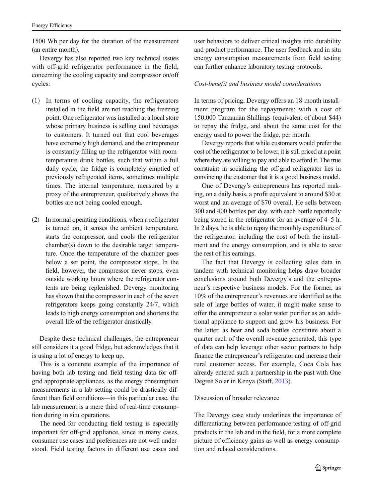1500 Wh per day for the duration of the measurement (an entire month).

Devergy has also reported two key technical issues with off-grid refrigerator performance in the field, concerning the cooling capacity and compressor on/off cycles:

- (1) In terms of cooling capacity, the refrigerators installed in the field are not reaching the freezing point. One refrigerator was installed at a local store whose primary business is selling cool beverages to customers. It turned out that cool beverages have extremely high demand, and the entrepreneur is constantly filling up the refrigerator with roomtemperature drink bottles, such that within a full daily cycle, the fridge is completely emptied of previously refrigerated items, sometimes multiple times. The internal temperature, measured by a proxy of the entrepreneur, qualitatively shows the bottles are not being cooled enough.
- (2) In normal operating conditions, when a refrigerator is turned on, it senses the ambient temperature, starts the compressor, and cools the refrigerator chamber(s) down to the desirable target temperature. Once the temperature of the chamber goes below a set point, the compressor stops. In the field, however, the compressor never stops, even outside working hours where the refrigerator contents are being replenished. Devergy monitoring has shown that the compressor in each of the seven refrigerators keeps going constantly 24/7, which leads to high energy consumption and shortens the overall life of the refrigerator drastically.

Despite these technical challenges, the entrepreneur still considers it a good fridge, but acknowledges that it is using a lot of energy to keep up.

This is a concrete example of the importance of having both lab testing and field testing data for offgrid appropriate appliances, as the energy consumption measurements in a lab setting could be drastically different than field conditions—in this particular case, the lab measurement is a mere third of real-time consumption during in situ operations.

The need for conducting field testing is especially important for off-grid appliance, since in many cases, consumer use cases and preferences are not well understood. Field testing factors in different use cases and user behaviors to deliver critical insights into durability and product performance. The user feedback and in situ energy consumption measurements from field testing can further enhance laboratory testing protocols.

## Cost-benefit and business model considerations

In terms of pricing, Devergy offers an 18-month installment program for the repayments; with a cost of 150,000 Tanzanian Shillings (equivalent of about \$44) to repay the fridge, and about the same cost for the energy used to power the fridge, per month.

Devergy reports that while customers would prefer the cost of the refrigerator to be lower, it is still priced at a point where they are willing to pay and able to afford it. The true constraint in socializing the off-grid refrigerator lies in convincing the customer that it is a good business model.

One of Devergy's entrepreneurs has reported making, on a daily basis, a profit equivalent to around \$30 at worst and an average of \$70 overall. He sells between 300 and 400 bottles per day, with each bottle reportedly being stored in the refrigerator for an average of 4–5 h. In 2 days, he is able to repay the monthly expenditure of the refrigerator, including the cost of both the installment and the energy consumption, and is able to save the rest of his earnings.

The fact that Devergy is collecting sales data in tandem with technical monitoring helps draw broader conclusions around both Devergy's and the entrepreneur's respective business models. For the former, as 10% of the entrepreneur's revenues are identified as the sale of large bottles of water, it might make sense to offer the entrepreneur a solar water purifier as an additional appliance to support and grow his business. For the latter, as beer and soda bottles constitute about a quarter each of the overall revenue generated, this type of data can help leverage other sector partners to help finance the entrepreneur's refrigerator and increase their rural customer access. For example, Coca Cola has already entered such a partnership in the past with One Degree Solar in Kenya (Staff, [2013\)](#page-24-0).

#### Discussion of broader relevance

The Devergy case study underlines the importance of differentiating between performance testing of off-grid products in the lab and in the field, for a more complete picture of efficiency gains as well as energy consumption and related considerations.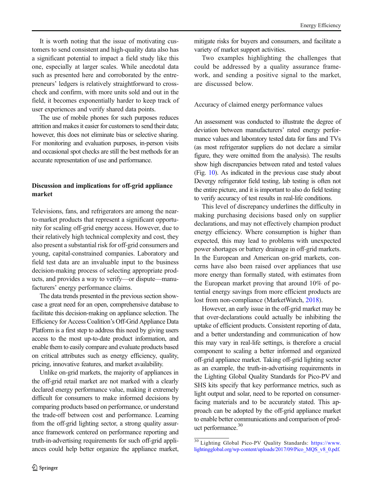It is worth noting that the issue of motivating customers to send consistent and high-quality data also has a significant potential to impact a field study like this one, especially at larger scales. While anecdotal data such as presented here and corroborated by the entrepreneurs' ledgers is relatively straightforward to crosscheck and confirm, with more units sold and out in the field, it becomes exponentially harder to keep track of user experiences and verify shared data points.

The use of mobile phones for such purposes reduces attrition and makes it easier for customers to send their data; however, this does not eliminate bias or selective sharing. For monitoring and evaluation purposes, in-person visits and occasional spot checks are still the best methods for an accurate representation of use and performance.

## Discussion and implications for off-grid appliance market

Televisions, fans, and refrigerators are among the nearto-market products that represent a significant opportunity for scaling off-grid energy access. However, due to their relatively high technical complexity and cost, they also present a substantial risk for off-grid consumers and young, capital-constrained companies. Laboratory and field test data are an invaluable input to the business decision-making process of selecting appropriate products, and provides a way to verify—or dispute—manufacturers' energy performance claims.

The data trends presented in the previous section showcase a great need for an open, comprehensive database to facilitate this decision-making on appliance selection. The Efficiency for Access Coalition's Off-Grid Appliance Data Platform is a first step to address this need by giving users access to the most up-to-date product information, and enable them to easily compare and evaluate products based on critical attributes such as energy efficiency, quality, pricing, innovative features, and market availability.

Unlike on-grid markets, the majority of appliances in the off-grid retail market are not marked with a clearly declared energy performance value, making it extremely difficult for consumers to make informed decisions by comparing products based on performance, or understand the trade-off between cost and performance. Learning from the off-grid lighting sector, a strong quality assurance framework centered on performance reporting and truth-in-advertising requirements for such off-grid appliances could help better organize the appliance market, mitigate risks for buyers and consumers, and facilitate a variety of market support activities.

Two examples highlighting the challenges that could be addressed by a quality assurance framework, and sending a positive signal to the market, are discussed below.

Accuracy of claimed energy performance values

An assessment was conducted to illustrate the degree of deviation between manufacturers' rated energy performance values and laboratory tested data for fans and TVs (as most refrigerator suppliers do not declare a similar figure, they were omitted from the analysis). The results show high discrepancies between rated and tested values (Fig. [10](#page-22-0)). As indicated in the previous case study about Devergy refrigerator field testing, lab testing is often not the entire picture, and it is important to also do field testing to verify accuracy of test results in real-life conditions.

This level of discrepancy underlines the difficulty in making purchasing decisions based only on supplier declarations, and may not effectively champion product energy efficiency. Where consumption is higher than expected, this may lead to problems with unexpected power shortages or battery drainage in off-grid markets. In the European and American on-grid markets, concerns have also been raised over appliances that use more energy than formally stated, with estimates from the European market proving that around 10% of potential energy savings from more efficient products are lost from non-compliance (MarketWatch, [2018](#page-23-0)).

However, an early issue in the off-grid market may be that over-declarations could actually be inhibiting the uptake of efficient products. Consistent reporting of data, and a better understanding and communication of how this may vary in real-life settings, is therefore a crucial component to scaling a better informed and organized off-grid appliance market. Taking off-grid lighting sector as an example, the truth-in-advertising requirements in the Lighting Global Quality Standards for Pico-PV and SHS kits specify that key performance metrics, such as light output and solar, need to be reported on consumerfacing materials and to be accurately stated. This approach can be adopted by the off-grid appliance market to enable better communications and comparison of product performance.<sup>30</sup>

<sup>30</sup> Lighting Global Pico-PV Quality Standards: [https://www.](https://www.lightingglobal.org/wp-content/uploads/2017/09/Pico_MQS_v8_0.pdf) [lightingglobal.org/wp-content/uploads/2017/09/Pico\\_MQS\\_v8\\_0.pdf](https://www.lightingglobal.org/wp-content/uploads/2017/09/Pico_MQS_v8_0.pdf).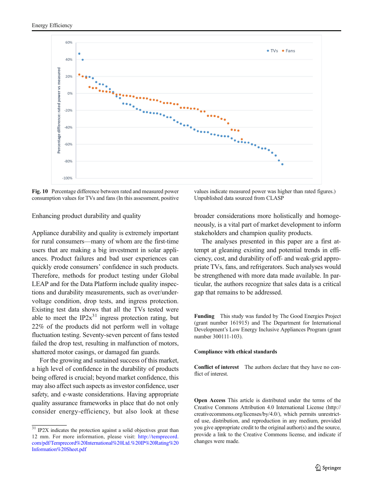<span id="page-22-0"></span>

Fig. 10 Percentage difference between rated and measured power consumption values for TVs and fans (In this assessment, positive

Enhancing product durability and quality

Appliance durability and quality is extremely important for rural consumers—many of whom are the first-time users that are making a big investment in solar appliances. Product failures and bad user experiences can quickly erode consumers' confidence in such products. Therefore, methods for product testing under Global LEAP and for the Data Platform include quality inspections and durability measurements, such as over/undervoltage condition, drop tests, and ingress protection. Existing test data shows that all the TVs tested were able to meet the  $IP2x^{31}$  ingress protection rating, but 22% of the products did not perform well in voltage fluctuation testing. Seventy-seven percent of fans tested failed the drop test, resulting in malfunction of motors, shattered motor casings, or damaged fan guards.

For the growing and sustained success of this market, a high level of confidence in the durability of products being offered is crucial; beyond market confidence, this may also affect such aspects as investor confidence, user safety, and e-waste considerations. Having appropriate quality assurance frameworks in place that do not only consider energy-efficiency, but also look at these values indicate measured power was higher than rated figures.) Unpublished data sourced from CLASP

broader considerations more holistically and homogeneously, is a vital part of market development to inform stakeholders and champion quality products.

The analyses presented in this paper are a first attempt at gleaning existing and potential trends in efficiency, cost, and durability of off- and weak-grid appropriate TVs, fans, and refrigerators. Such analyses would be strengthened with more data made available. In particular, the authors recognize that sales data is a critical gap that remains to be addressed.

Funding This study was funded by The Good Energies Project (grant number 161915) and The Department for International Development's Low Energy Inclusive Appliances Program (grant number 300111-103).

#### Compliance with ethical standards

Conflict of interest The authors declare that they have no conflict of interest.

Open Access This article is distributed under the terms of the Creative Commons Attribution 4.0 International License (http:// creativecommons.org/licenses/by/4.0/), which permits unrestricted use, distribution, and reproduction in any medium, provided you give appropriate credit to the original author(s) and the source, provide a link to the Creative Commons license, and indicate if changes were made.

 $\frac{31}{1}$  IP2X indicates the protection against a solid objectives great than 12 mm. For more information, please visit: [http://temprecord.](http://temprecord.com/pdf/Temprecord%20International%20Ltd.%20IP%20Rating%20Information%20Sheet.pdf) [com/pdf/Temprecord%20International%20Ltd.%20IP%20Rating%20](http://temprecord.com/pdf/Temprecord%20International%20Ltd.%20IP%20Rating%20Information%20Sheet.pdf) [Information%20Sheet.pdf](http://temprecord.com/pdf/Temprecord%20International%20Ltd.%20IP%20Rating%20Information%20Sheet.pdf)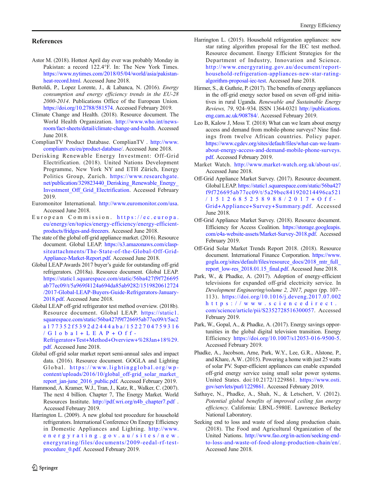#### <span id="page-23-0"></span>References

- Astor M. (2018). Hottest April day ever was probably Monday in Pakistan: a record 122.4°F. In: The New York Times. [https://www.nytimes.com/2018/05/04/world/asia/pakistan](https://www.nytimes.com/2018/05/04/world/asia/pakistan-heat-record.html)[heat-record.html.](https://www.nytimes.com/2018/05/04/world/asia/pakistan-heat-record.html) Accessed June 2018.
- Bertoldi, P., Lopez Lorente, J., & Labanca, N. (2016). Energy consumption and energy efficiency trends in the EU-28 2000-2014. Publications Office of the European Union. <https://doi.org/10.2788/581574>. Accessed February 2019.
- Climate Change and Health. (2018). Resource document. The World Health Organization. [http://www.who.int/news](http://www.who.int/news-room/fact-sheets/detail/climate-change-and-health)[room/fact-sheets/detail/climate-change-and-health.](http://www.who.int/news-room/fact-sheets/detail/climate-change-and-health) Accessed June 2018.
- ComplianTV Product Database. ComplianTV . [http://www.](http://www.compliantv.eu/eu/product-database/) [compliantv.eu/eu/product-database/.](http://www.compliantv.eu/eu/product-database/) Accessed June 2018.
- Derisking Renewable Energy Investment: Off-Grid Electrification. (2018). United Nations Development Programme, New York NY and ETH Zürich, Energy Politics Group, Zurich. [https://www.researchgate.](https://www.researchgate.net/publication/329823440_Derisking_Renewable_Energy_Investment_Off_Grid_Electrification) [net/publication/329823440\\_Derisking\\_Renewable\\_Energy\\_](https://www.researchgate.net/publication/329823440_Derisking_Renewable_Energy_Investment_Off_Grid_Electrification) [Investment\\_Off\\_Grid\\_Electrification.](https://www.researchgate.net/publication/329823440_Derisking_Renewable_Energy_Investment_Off_Grid_Electrification) Accessed February 2019.
- Euromonitor International. <http://www.euromonitor.com/usa>. Accessed June 2018.
- European Commission. [https://ec.europa.](https://ec.europa.eu/energy/en/topics/energy-efficiency/energy-efficient-products/fridges-and-freezers) [eu/energy/en/topics/energy-efficiency/energy-efficient](https://ec.europa.eu/energy/en/topics/energy-efficiency/energy-efficient-products/fridges-and-freezers)[products/fridges-and-freezers](https://ec.europa.eu/energy/en/topics/energy-efficiency/energy-efficient-products/fridges-and-freezers). Accessed June 2018.
- The state of the global off-grid appliance market. (2016). Resource document. Global LEAP. [https://s3.amazonaws.com/clasp](https://s3.amazonaws.com/clasp-siteattachments/The-State-of-the-Global-Off-Grid-Appliance-Market-Report.pdf)[siteattachments/The-State-of-the-Global-Off-Grid-](https://s3.amazonaws.com/clasp-siteattachments/The-State-of-the-Global-Off-Grid-Appliance-Market-Report.pdf)[Appliance-Market-Report.pdf](https://s3.amazonaws.com/clasp-siteattachments/The-State-of-the-Global-Off-Grid-Appliance-Market-Report.pdf). Accessed June 2018.
- Global LEAP Awards 2017 buyer's guide for outstanding off-grid refrigerators. (2018a). Resource document. Global LEAP. [https://static1.squarespace.com/static/56ba427f9f726695](https://static1.squarespace.com/static/56ba427f9f726695ab77ec09/t/5a969f4124a694da85ab9282/1519820612724/2017-Global-LEAP-Buyers-Guide-Refrigerators-January-2018.pdf) [ab77ec09/t/5a969f4124a694da85ab9282/1519820612724](https://static1.squarespace.com/static/56ba427f9f726695ab77ec09/t/5a969f4124a694da85ab9282/1519820612724/2017-Global-LEAP-Buyers-Guide-Refrigerators-January-2018.pdf) [/2017-Global-LEAP-Buyers-Guide-Refrigerators-January-](https://static1.squarespace.com/static/56ba427f9f726695ab77ec09/t/5a969f4124a694da85ab9282/1519820612724/2017-Global-LEAP-Buyers-Guide-Refrigerators-January-2018.pdf)[2018.pdf](https://static1.squarespace.com/static/56ba427f9f726695ab77ec09/t/5a969f4124a694da85ab9282/1519820612724/2017-Global-LEAP-Buyers-Guide-Refrigerators-January-2018.pdf). Accessed June 2018.
- Global LEAP off-grid refrigerator test method overview. (2018b). Resource document. Global LEAP. [https://static1.](https://static1.squarespace.com/static/56ba427f9f726695ab77ec09/t/5ac2a177352f5392d2444aba/1522704759316/Global+LEAP+Off-Refrigerator+Test+Method+Overview+%28Jan+18%29.pdf) [squarespace.com/static/56ba427f9f726695ab77ec09/t/5ac2](https://static1.squarespace.com/static/56ba427f9f726695ab77ec09/t/5ac2a177352f5392d2444aba/1522704759316/Global+LEAP+Off-Refrigerator+Test+Method+Overview+%28Jan+18%29.pdf) [a177352f5392d2444aba/1522704759316](https://static1.squarespace.com/static/56ba427f9f726695ab77ec09/t/5ac2a177352f5392d2444aba/1522704759316/Global+LEAP+Off-Refrigerator+Test+Method+Overview+%28Jan+18%29.pdf) [/Global+LEAP+Off-](https://static1.squarespace.com/static/56ba427f9f726695ab77ec09/t/5ac2a177352f5392d2444aba/1522704759316/Global+LEAP+Off-Refrigerator+Test+Method+Overview+%28Jan+18%29.pdf)

[Refrigerator+Test+Method+Overview+%28Jan+18%29.](https://static1.squarespace.com/static/56ba427f9f726695ab77ec09/t/5ac2a177352f5392d2444aba/1522704759316/Global+LEAP+Off-Refrigerator+Test+Method+Overview+%28Jan+18%29.pdf) [pdf.](https://static1.squarespace.com/static/56ba427f9f726695ab77ec09/t/5ac2a177352f5392d2444aba/1522704759316/Global+LEAP+Off-Refrigerator+Test+Method+Overview+%28Jan+18%29.pdf) Accessed June 2018.

- Global off-grid solar market report semi-annual sales and impact data. (2016). Resource document. GOGLA and Lighting Global. [https://www.lightingglobal.org/wp](https://www.lightingglobal.org/wp-content/uploads/2016/10/global_off-grid_solar_market_report_jan-june_2016_public.pdf)[content/uploads/2016/10/global\\_off-grid\\_solar\\_market\\_](https://www.lightingglobal.org/wp-content/uploads/2016/10/global_off-grid_solar_market_report_jan-june_2016_public.pdf) [report\\_jan-june\\_2016\\_public.pdf.](https://www.lightingglobal.org/wp-content/uploads/2016/10/global_off-grid_solar_market_report_jan-june_2016_public.pdf) Accessed February 2019.
- Hammond, A. Kramer, W.J., Tran, J., Katz, R., Walker, C. (2007). The next 4 billion. Chapter 7, The Energy Market. World Resources Institute. [http://pdf.wri.org/n4b\\_chapter7.pdf](http://pdf.wri.org/n4b_chapter7.pdf) . Accessed February 2019.
- Harrington L. (2009). A new global test procedure for household refrigerators. International Conference On Energy Efficiency in Domestic Appliances and Lighting. [http://www.](http://www.energyrating.gov.au/sites/new.energyrating/files/documents/2009-eedal-rf-test-procedure_0.pdf) [energyrating.gov.au/sites/new.](http://www.energyrating.gov.au/sites/new.energyrating/files/documents/2009-eedal-rf-test-procedure_0.pdf) [energyrating/files/documents/2009-eedal-rf-test](http://www.energyrating.gov.au/sites/new.energyrating/files/documents/2009-eedal-rf-test-procedure_0.pdf)[procedure\\_0.pdf.](http://www.energyrating.gov.au/sites/new.energyrating/files/documents/2009-eedal-rf-test-procedure_0.pdf) Accessed February 2019.
- Harrington L. (2015). Household refrigeration appliances: new star rating algorithm proposal for the IEC test method. Resource document. Energy Efficient Strategies for the Department of Industry, Innovation and Science. [http://www.energyrating.gov.au/document/report](http://www.energyrating.gov.au/document/report-household-refrigeration-appliances-new-star-rating-algorithm-proposal-iec-test)[household-refrigeration-appliances-new-star-rating](http://www.energyrating.gov.au/document/report-household-refrigeration-appliances-new-star-rating-algorithm-proposal-iec-test)[algorithm-proposal-iec-test](http://www.energyrating.gov.au/document/report-household-refrigeration-appliances-new-star-rating-algorithm-proposal-iec-test). Accessed June 2018.
- Hirmer, S., & Guthrie, P. (2017). The benefits of energy appliances in the off-grid energy sector based on seven off-grid initiatives in rural Uganda. Renewable and Sustainable Energy Reviews, 79, 924–934. ISSN 1364-0321 [http://publications.](http://publications.eng.cam.ac.uk/908784/) [eng.cam.ac.uk/908784/](http://publications.eng.cam.ac.uk/908784/). Accessed February 2019.
- Leo B, Kalow J, Moss T. (2018) What can we learn about energy access and demand from mobile-phone surveys? Nine findings from twelve African countries. Policy paper. [https://www.cgdev.org/sites/default/files/what-can-we-learn](https://www.cgdev.org/sites/default/files/what-can-we-learn-about-energy-access-and-demand-mobile-phone-surveys.pdf)[about-energy-access-and-demand-mobile-phone-surveys.](https://www.cgdev.org/sites/default/files/what-can-we-learn-about-energy-access-and-demand-mobile-phone-surveys.pdf) [pdf.](https://www.cgdev.org/sites/default/files/what-can-we-learn-about-energy-access-and-demand-mobile-phone-surveys.pdf) Accessed February 2019.
- Market Watch. <http://www.market-watch.org.uk/about-us/>. Accessed June 2018.
- Off-Grid Appliance Market Survey. (2017). Resource document. Global LEAP. [https://static1.squarespace.com/static/56ba427](https://static1.squarespace.com/static/56ba427f9f726695ab77ec09/t/5a29bec841920214496ca521/1512685258988/2017+Off-Grid+Appliance+Survey+Summary.pdf) [f9f726695ab77ec09/t/5a29bec841920214496ca521](https://static1.squarespace.com/static/56ba427f9f726695ab77ec09/t/5a29bec841920214496ca521/1512685258988/2017+Off-Grid+Appliance+Survey+Summary.pdf) [/1512685258988/2017+Off-](https://static1.squarespace.com/static/56ba427f9f726695ab77ec09/t/5a29bec841920214496ca521/1512685258988/2017+Off-Grid+Appliance+Survey+Summary.pdf)[Grid+Appliance+Survey+Summary.pdf.](https://static1.squarespace.com/static/56ba427f9f726695ab77ec09/t/5a29bec841920214496ca521/1512685258988/2017+Off-Grid+Appliance+Survey+Summary.pdf) Accessed June 2018.
- Off-Grid Appliance Market Survey. (2018). Resource document. Efficiency for Access Coalition. [https://storage.googleapis.](https://storage.googleapis.com/e4a-website-assets/Market-Survey-2018.pdf) [com/e4a-website-assets/Market-Survey-2018.pdf.](https://storage.googleapis.com/e4a-website-assets/Market-Survey-2018.pdf) Accessed February 2019.
- Off-Grid Solar Market Trends Report 2018. (2018). Resource document. International Finance Corporation. [https://www.](https://www.gogla.org/sites/default/files/resource_docs/2018_mtr_full_report_low-res_2018.01.15_final.pdf) [gogla.org/sites/default/files/resource\\_docs/2018\\_mtr\\_full\\_](https://www.gogla.org/sites/default/files/resource_docs/2018_mtr_full_report_low-res_2018.01.15_final.pdf) [report\\_low-res\\_2018.01.15\\_final.pdf.](https://www.gogla.org/sites/default/files/resource_docs/2018_mtr_full_report_low-res_2018.01.15_final.pdf) Accessed June 2018.
- Park, W., & Phadke, A. (2017). Adoption of energy-efficient televisions for expanded off-grid electricity service. In Development Engineering/volume 2, 2017, pages (pp. 107– 113). <https://doi.org/10.1016/j.deveng.2017.07.002> [https://www.sciencedirect.](https://www.sciencedirect.com/science/article/pii/S2352728516300057) [com/science/article/pii/S2352728516300057.](https://www.sciencedirect.com/science/article/pii/S2352728516300057) Accessed February 2019.
- Park, W., Gopal, A., & Phadke, A. (2017). Energy savings opportunities in the global digital television transition. Energy Efficiency <https://doi.org/10.1007/s12053-016-9500-5>. Accessed February 2019.
- Phadke, A., Jacobson, Arne, Park, W.Y., Lee, G.R., Alstone, P., and Khare, A.W. (2015). Powering a home with just 25 watts of solar PV. Super-efficient appliances can enable expanded off-grid energy service using small solar power systems. United States. doi:10.2172/1229861. [https://www.osti.](https://www.osti.gov/servlets/purl/1229861) [gov/servlets/purl/1229861.](https://www.osti.gov/servlets/purl/1229861) Accessed February 2019.
- Sathaye, N., Phadke, A., Shah, N., & Letschert, V. (2012). Potential global benefits of improved ceiling fan energy efficiency. California: LBNL-5980E. Lawrence Berkeley National Laboratory.
- Seeking end to loss and waste of food along production chain. (2018). The Food and Agricultural Organization of the United Nations. [http://www.fao.org/in-action/seeking-end](http://www.fao.org/in-action/seeking-end-to-loss-and-waste-of-food-along-production-chain/en/)[to-loss-and-waste-of-food-along-production-chain/en/](http://www.fao.org/in-action/seeking-end-to-loss-and-waste-of-food-along-production-chain/en/). Accessed June 2018.